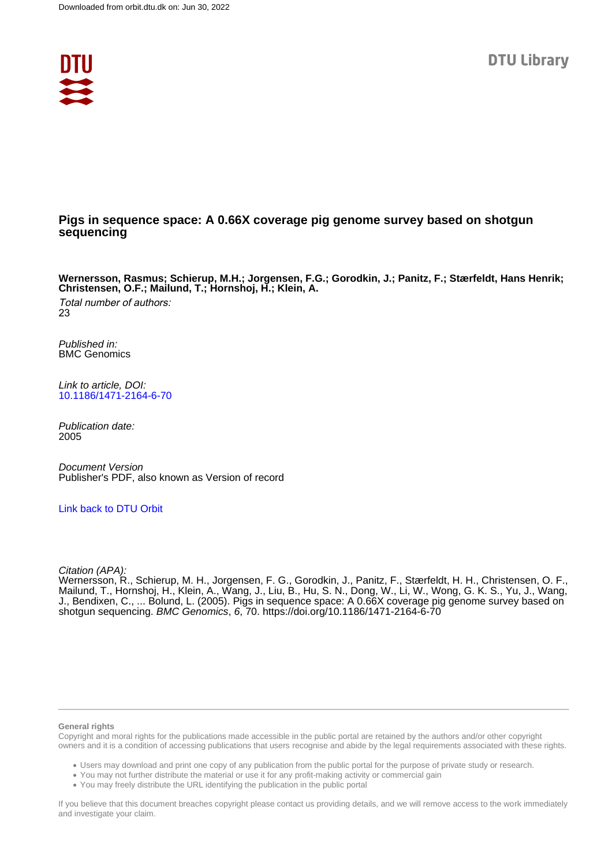

# **Pigs in sequence space: A 0.66X coverage pig genome survey based on shotgun sequencing**

**Wernersson, Rasmus; Schierup, M.H.; Jorgensen, F.G.; Gorodkin, J.; Panitz, F.; Stærfeldt, Hans Henrik; Christensen, O.F.; Mailund, T.; Hornshoj, H.; Klein, A.**

Total number of authors: 23

Published in: BMC Genomics

Link to article, DOI: [10.1186/1471-2164-6-70](https://doi.org/10.1186/1471-2164-6-70)

Publication date: 2005

Document Version Publisher's PDF, also known as Version of record

[Link back to DTU Orbit](https://orbit.dtu.dk/en/publications/fae641ef-bb25-4947-aa88-59435df1f429)

Citation (APA):

Wernersson, R., Schierup, M. H., Jorgensen, F. G., Gorodkin, J., Panitz, F., Stærfeldt, H. H., Christensen, O. F., Mailund, T., Hornshoj, H., Klein, A., Wang, J., Liu, B., Hu, S. N., Dong, W., Li, W., Wong, G. K. S., Yu, J., Wang, J., Bendixen, C., ... Bolund, L. (2005). Pigs in sequence space: A 0.66X coverage pig genome survey based on shotgun sequencing. BMC Genomics, 6, 70.<https://doi.org/10.1186/1471-2164-6-70>

#### **General rights**

Copyright and moral rights for the publications made accessible in the public portal are retained by the authors and/or other copyright owners and it is a condition of accessing publications that users recognise and abide by the legal requirements associated with these rights.

Users may download and print one copy of any publication from the public portal for the purpose of private study or research.

- You may not further distribute the material or use it for any profit-making activity or commercial gain
- You may freely distribute the URL identifying the publication in the public portal

If you believe that this document breaches copyright please contact us providing details, and we will remove access to the work immediately and investigate your claim.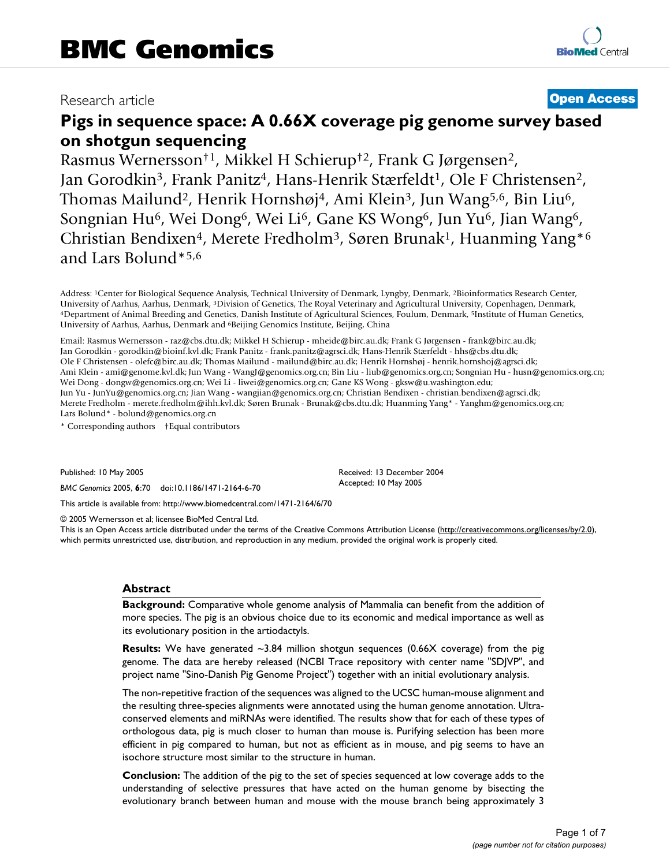# Research article **[Open Access](http://www.biomedcentral.com/info/about/charter/)**

# **Pigs in sequence space: A 0.66X coverage pig genome survey based on shotgun sequencing**

Rasmus Wernersson†1, Mikkel H Schierup†2, Frank G Jørgensen2, Jan Gorodkin<sup>3</sup>, Frank Panitz<sup>4</sup>, Hans-Henrik Stærfeldt<sup>1</sup>, Ole F Christensen<sup>2</sup>, Thomas Mailund<sup>2</sup>, Henrik Hornshøj<sup>4</sup>, Ami Klein<sup>3</sup>, Jun Wang<sup>5,6</sup>, Bin Liu<sup>6</sup>, Songnian Hu6, Wei Dong6, Wei Li6, Gane KS Wong6, Jun Yu6, Jian Wang6, Christian Bendixen<sup>4</sup>, Merete Fredholm<sup>3</sup>, Søren Brunak<sup>1</sup>, Huanming Yang<sup>\*6</sup> and Lars Bolund\*5,6

Address: 1Center for Biological Sequence Analysis, Technical University of Denmark, Lyngby, Denmark, 2Bioinformatics Research Center, University of Aarhus, Aarhus, Denmark, <sup>3</sup>Division of Genetics, The Royal Veterinary and Agricultural University, Copenhagen, Denmark,<br><sup>4</sup>Department of Animal Breeding and Genetics, Danish Institute of Agricultural Science University of Aarhus, Aarhus, Denmark and 6Beijing Genomics Institute, Beijing, China

Email: Rasmus Wernersson - raz@cbs.dtu.dk; Mikkel H Schierup - mheide@birc.au.dk; Frank G Jørgensen - frank@birc.au.dk; Jan Gorodkin - gorodkin@bioinf.kvl.dk; Frank Panitz - frank.panitz@agrsci.dk; Hans-Henrik Stærfeldt - hhs@cbs.dtu.dk; Ole F Christensen - olefc@birc.au.dk; Thomas Mailund - mailund@birc.au.dk; Henrik Hornshøj - henrik.hornshoj@agrsci.dk; Ami Klein - ami@genome.kvl.dk; Jun Wang - WangJ@genomics.org.cn; Bin Liu - liub@genomics.org.cn; Songnian Hu - husn@genomics.org.cn; Wei Dong - dongw@genomics.org.cn; Wei Li - liwei@genomics.org.cn; Gane KS Wong - gksw@u.washington.edu; Jun Yu - JunYu@genomics.org.cn; Jian Wang - wangjian@genomics.org.cn; Christian Bendixen - christian.bendixen@agrsci.dk; Merete Fredholm - merete.fredholm@ihh.kvl.dk; Søren Brunak - Brunak@cbs.dtu.dk; Huanming Yang\* - Yanghm@genomics.org.cn; Lars Bolund\* - bolund@genomics.org.cn

\* Corresponding authors †Equal contributors

Published: 10 May 2005

*BMC Genomics* 2005, **6**:70 doi:10.1186/1471-2164-6-70

[This article is available from: http://www.biomedcentral.com/1471-2164/6/70](http://www.biomedcentral.com/1471-2164/6/70)

© 2005 Wernersson et al; licensee BioMed Central Ltd.

This is an Open Access article distributed under the terms of the Creative Commons Attribution License [\(http://creativecommons.org/licenses/by/2.0\)](http://creativecommons.org/licenses/by/2.0), which permits unrestricted use, distribution, and reproduction in any medium, provided the original work is properly cited.

Received: 13 December 2004 Accepted: 10 May 2005

### **Abstract**

**Background:** Comparative whole genome analysis of Mammalia can benefit from the addition of more species. The pig is an obvious choice due to its economic and medical importance as well as its evolutionary position in the artiodactyls.

**Results:** We have generated ~3.84 million shotgun sequences (0.66X coverage) from the pig genome. The data are hereby released (NCBI Trace repository with center name "SDJVP", and project name "Sino-Danish Pig Genome Project") together with an initial evolutionary analysis.

The non-repetitive fraction of the sequences was aligned to the UCSC human-mouse alignment and the resulting three-species alignments were annotated using the human genome annotation. Ultraconserved elements and miRNAs were identified. The results show that for each of these types of orthologous data, pig is much closer to human than mouse is. Purifying selection has been more efficient in pig compared to human, but not as efficient as in mouse, and pig seems to have an isochore structure most similar to the structure in human.

**Conclusion:** The addition of the pig to the set of species sequenced at low coverage adds to the understanding of selective pressures that have acted on the human genome by bisecting the evolutionary branch between human and mouse with the mouse branch being approximately 3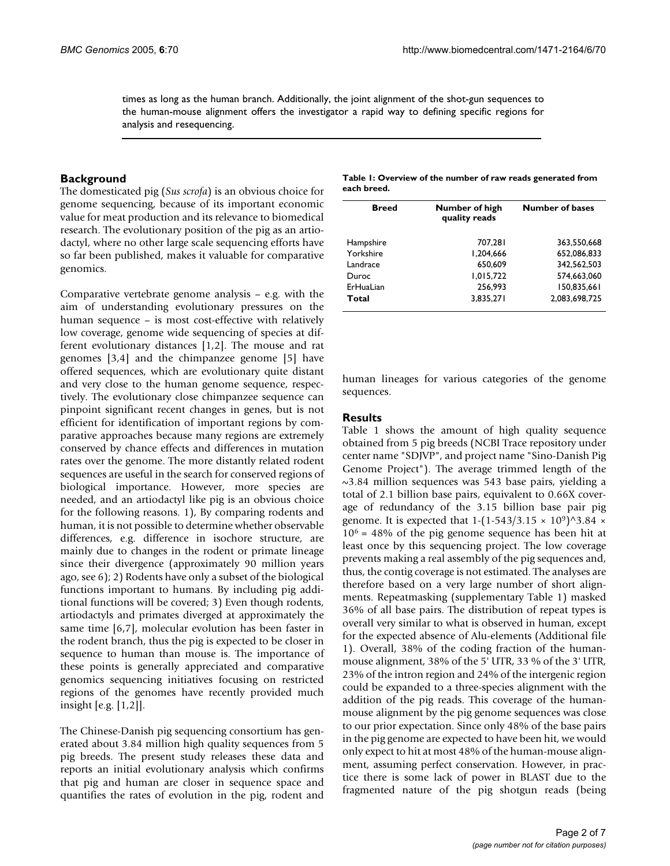times as long as the human branch. Additionally, the joint alignment of the shot-gun sequences to the human-mouse alignment offers the investigator a rapid way to defining specific regions for analysis and resequencing.

### **Background**

The domesticated pig (*Sus scrofa*) is an obvious choice for genome sequencing, because of its important economic value for meat production and its relevance to biomedical research. The evolutionary position of the pig as an artiodactyl, where no other large scale sequencing efforts have so far been published, makes it valuable for comparative genomics.

Comparative vertebrate genome analysis – e.g. with the aim of understanding evolutionary pressures on the human sequence – is most cost-effective with relatively low coverage, genome wide sequencing of species at different evolutionary distances [1,2]. The mouse and rat genomes [3,4] and the chimpanzee genome [5] have offered sequences, which are evolutionary quite distant and very close to the human genome sequence, respectively. The evolutionary close chimpanzee sequence can pinpoint significant recent changes in genes, but is not efficient for identification of important regions by comparative approaches because many regions are extremely conserved by chance effects and differences in mutation rates over the genome. The more distantly related rodent sequences are useful in the search for conserved regions of biological importance. However, more species are needed, and an artiodactyl like pig is an obvious choice for the following reasons. 1), By comparing rodents and human, it is not possible to determine whether observable differences, e.g. difference in isochore structure, are mainly due to changes in the rodent or primate lineage since their divergence (approximately 90 million years ago, see 6); 2) Rodents have only a subset of the biological functions important to humans. By including pig additional functions will be covered; 3) Even though rodents, artiodactyls and primates diverged at approximately the same time [6,7], molecular evolution has been faster in the rodent branch, thus the pig is expected to be closer in sequence to human than mouse is. The importance of these points is generally appreciated and comparative genomics sequencing initiatives focusing on restricted regions of the genomes have recently provided much insight [e.g. [1,2]].

The Chinese-Danish pig sequencing consortium has generated about 3.84 million high quality sequences from 5 pig breeds. The present study releases these data and reports an initial evolutionary analysis which confirms that pig and human are closer in sequence space and quantifies the rates of evolution in the pig, rodent and

| Table 1: Overview of the number of raw reads generated from |  |
|-------------------------------------------------------------|--|
| each breed.                                                 |  |

| <b>Breed</b> | Number of high<br>quality reads | <b>Number of bases</b> |
|--------------|---------------------------------|------------------------|
| Hampshire    | 707.281                         | 363.550.668            |
| Yorkshire    | 1.204.666                       | 652.086.833            |
| Landrace     | 650.609                         | 342.562.503            |
| Duroc        | 1,015,722                       | 574.663.060            |
| ErHuaLian    | 256.993                         | 150.835.661            |
| Total        | 3.835.271                       | 2.083.698.725          |

human lineages for various categories of the genome sequences.

#### **Results**

Table 1 shows the amount of high quality sequence obtained from 5 pig breeds (NCBI Trace repository under center name "SDJVP", and project name "Sino-Danish Pig Genome Project"). The average trimmed length of the ~3.84 million sequences was 543 base pairs, yielding a total of 2.1 billion base pairs, equivalent to 0.66X coverage of redundancy of the 3.15 billion base pair pig genome. It is expected that  $1-(1-543/3.15 \times 10^9)^{\wedge}3.84 \times$  $10<sup>6</sup>$  = 48% of the pig genome sequence has been hit at least once by this sequencing project. The low coverage prevents making a real assembly of the pig sequences and, thus, the contig coverage is not estimated. The analyses are therefore based on a very large number of short alignments. Repeatmasking (supplementary Table 1) masked 36% of all base pairs. The distribution of repeat types is overall very similar to what is observed in human, except for the expected absence of Alu-elements (Additional file 1). Overall, 38% of the coding fraction of the humanmouse alignment, 38% of the 5' UTR, 33 % of the 3' UTR, 23% of the intron region and 24% of the intergenic region could be expanded to a three-species alignment with the addition of the pig reads. This coverage of the humanmouse alignment by the pig genome sequences was close to our prior expectation. Since only 48% of the base pairs in the pig genome are expected to have been hit, we would only expect to hit at most 48% of the human-mouse alignment, assuming perfect conservation. However, in practice there is some lack of power in BLAST due to the fragmented nature of the pig shotgun reads (being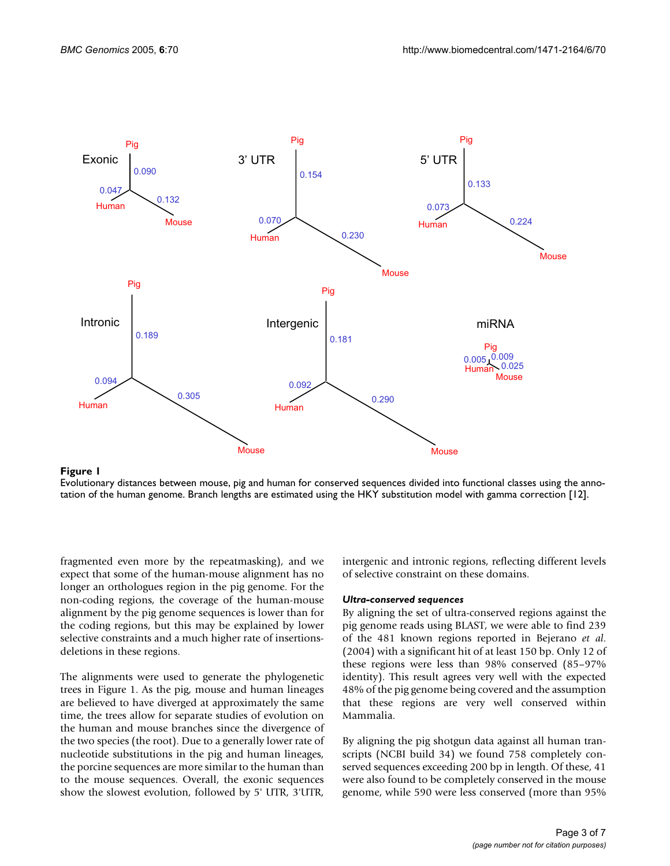

Evolutionary distances between mouse, pig and human for conserved sequences divided into functional classes using the annotation of the human genome. Branch lengths are estimated using the HKY substitution model with gamma correction [12].

fragmented even more by the repeatmasking), and we expect that some of the human-mouse alignment has no longer an orthologues region in the pig genome. For the non-coding regions, the coverage of the human-mouse alignment by the pig genome sequences is lower than for the coding regions, but this may be explained by lower selective constraints and a much higher rate of insertionsdeletions in these regions.

The alignments were used to generate the phylogenetic trees in Figure 1. As the pig, mouse and human lineages are believed to have diverged at approximately the same time, the trees allow for separate studies of evolution on the human and mouse branches since the divergence of the two species (the root). Due to a generally lower rate of nucleotide substitutions in the pig and human lineages, the porcine sequences are more similar to the human than to the mouse sequences. Overall, the exonic sequences show the slowest evolution, followed by 5' UTR, 3'UTR,

intergenic and intronic regions, reflecting different levels of selective constraint on these domains.

### *Ultra-conserved sequences*

By aligning the set of ultra-conserved regions against the pig genome reads using BLAST, we were able to find 239 of the 481 known regions reported in Bejerano *et al*. (2004) with a significant hit of at least 150 bp. Only 12 of these regions were less than 98% conserved (85–97% identity). This result agrees very well with the expected 48% of the pig genome being covered and the assumption that these regions are very well conserved within Mammalia.

By aligning the pig shotgun data against all human transcripts (NCBI build 34) we found 758 completely conserved sequences exceeding 200 bp in length. Of these, 41 were also found to be completely conserved in the mouse genome, while 590 were less conserved (more than 95%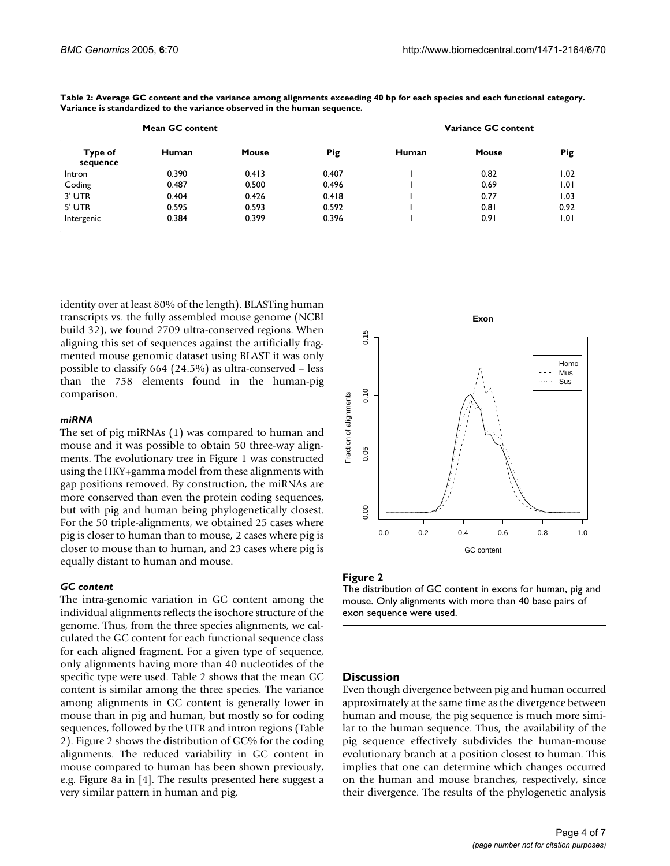| Mean GC content     |              |              |            | Variance GC content |       |            |
|---------------------|--------------|--------------|------------|---------------------|-------|------------|
| Type of<br>sequence | <b>Human</b> | <b>Mouse</b> | <b>Pig</b> | Human               | Mouse | <b>Pig</b> |
| Intron              | 0.390        | 0.413        | 0.407      |                     | 0.82  | 1.02       |
| Coding              | 0.487        | 0.500        | 0.496      |                     | 0.69  | 1.01       |
| 3' UTR              | 0.404        | 0.426        | 0.418      |                     | 0.77  | 1.03       |
| 5' UTR              | 0.595        | 0.593        | 0.592      |                     | 0.81  | 0.92       |
| Intergenic          | 0.384        | 0.399        | 0.396      |                     | 0.91  | 1.01       |

**Table 2: Average GC content and the variance among alignments exceeding 40 bp for each species and each functional category. Variance is standardized to the variance observed in the human sequence.**

identity over at least 80% of the length). BLASTing human transcripts vs. the fully assembled mouse genome (NCBI build 32), we found 2709 ultra-conserved regions. When aligning this set of sequences against the artificially fragmented mouse genomic dataset using BLAST it was only possible to classify 664 (24.5%) as ultra-conserved – less than the 758 elements found in the human-pig comparison.

#### *miRNA*

The set of pig miRNAs (1) was compared to human and mouse and it was possible to obtain 50 three-way alignments. The evolutionary tree in Figure 1 was constructed using the HKY+gamma model from these alignments with gap positions removed. By construction, the miRNAs are more conserved than even the protein coding sequences, but with pig and human being phylogenetically closest. For the 50 triple-alignments, we obtained 25 cases where pig is closer to human than to mouse, 2 cases where pig is closer to mouse than to human, and 23 cases where pig is equally distant to human and mouse.

# *GC content*

The intra-genomic variation in GC content among the individual alignments reflects the isochore structure of the genome. Thus, from the three species alignments, we calculated the GC content for each functional sequence class for each aligned fragment. For a given type of sequence, only alignments having more than 40 nucleotides of the specific type were used. Table 2 shows that the mean GC content is similar among the three species. The variance among alignments in GC content is generally lower in mouse than in pig and human, but mostly so for coding sequences, followed by the UTR and intron regions (Table 2). Figure 2 shows the distribution of GC% for the coding alignments. The reduced variability in GC content in mouse compared to human has been shown previously, e.g. Figure 8a in [4]. The results presented here suggest a very similar pattern in human and pig.



## Figure 2

The distribution of GC content in exons for human, pig and mouse. Only alignments with more than 40 base pairs of exon sequence were used.

#### **Discussion**

Even though divergence between pig and human occurred approximately at the same time as the divergence between human and mouse, the pig sequence is much more similar to the human sequence. Thus, the availability of the pig sequence effectively subdivides the human-mouse evolutionary branch at a position closest to human. This implies that one can determine which changes occurred on the human and mouse branches, respectively, since their divergence. The results of the phylogenetic analysis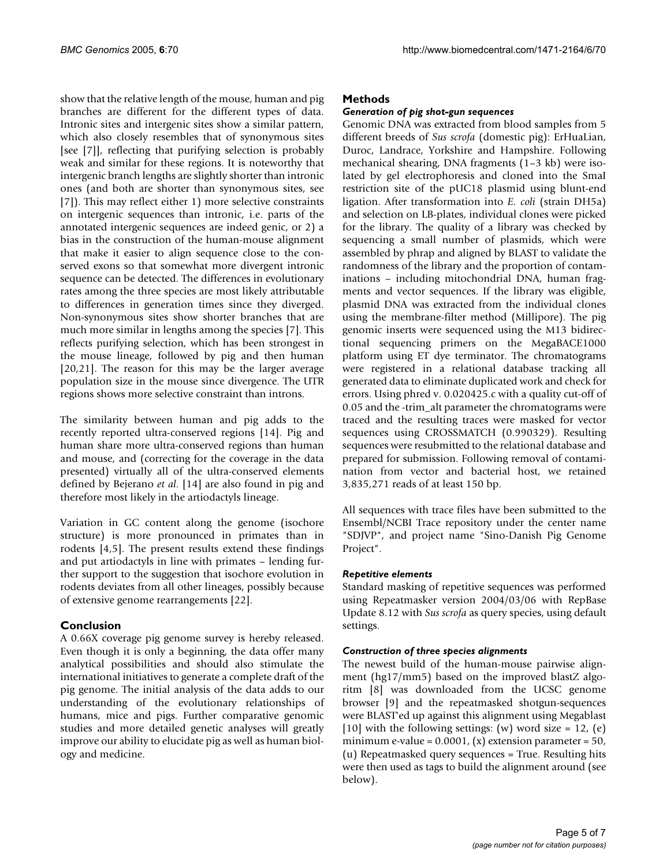show that the relative length of the mouse, human and pig branches are different for the different types of data. Intronic sites and intergenic sites show a similar pattern, which also closely resembles that of synonymous sites [see [7]], reflecting that purifying selection is probably weak and similar for these regions. It is noteworthy that intergenic branch lengths are slightly shorter than intronic ones (and both are shorter than synonymous sites, see [7]). This may reflect either 1) more selective constraints on intergenic sequences than intronic, i.e. parts of the annotated intergenic sequences are indeed genic, or 2) a bias in the construction of the human-mouse alignment that make it easier to align sequence close to the conserved exons so that somewhat more divergent intronic sequence can be detected. The differences in evolutionary rates among the three species are most likely attributable to differences in generation times since they diverged. Non-synonymous sites show shorter branches that are much more similar in lengths among the species [7]. This reflects purifying selection, which has been strongest in the mouse lineage, followed by pig and then human [20,21]. The reason for this may be the larger average population size in the mouse since divergence. The UTR regions shows more selective constraint than introns.

The similarity between human and pig adds to the recently reported ultra-conserved regions [14]. Pig and human share more ultra-conserved regions than human and mouse, and (correcting for the coverage in the data presented) virtually all of the ultra-conserved elements defined by Bejerano *et al*. [14] are also found in pig and therefore most likely in the artiodactyls lineage.

Variation in GC content along the genome (isochore structure) is more pronounced in primates than in rodents [4,5]. The present results extend these findings and put artiodactyls in line with primates – lending further support to the suggestion that isochore evolution in rodents deviates from all other lineages, possibly because of extensive genome rearrangements [22].

# **Conclusion**

A 0.66X coverage pig genome survey is hereby released. Even though it is only a beginning, the data offer many analytical possibilities and should also stimulate the international initiatives to generate a complete draft of the pig genome. The initial analysis of the data adds to our understanding of the evolutionary relationships of humans, mice and pigs. Further comparative genomic studies and more detailed genetic analyses will greatly improve our ability to elucidate pig as well as human biology and medicine.

# **Methods**

# *Generation of pig shot-gun sequences*

Genomic DNA was extracted from blood samples from 5 different breeds of *Sus scrofa* (domestic pig): ErHuaLian, Duroc, Landrace, Yorkshire and Hampshire. Following mechanical shearing, DNA fragments (1–3 kb) were isolated by gel electrophoresis and cloned into the SmaI restriction site of the pUC18 plasmid using blunt-end ligation. After transformation into *E. coli* (strain DH5a) and selection on LB-plates, individual clones were picked for the library. The quality of a library was checked by sequencing a small number of plasmids, which were assembled by phrap and aligned by BLAST to validate the randomness of the library and the proportion of contaminations – including mitochondrial DNA, human fragments and vector sequences. If the library was eligible, plasmid DNA was extracted from the individual clones using the membrane-filter method (Millipore). The pig genomic inserts were sequenced using the M13 bidirectional sequencing primers on the MegaBACE1000 platform using ET dye terminator. The chromatograms were registered in a relational database tracking all generated data to eliminate duplicated work and check for errors. Using phred v. 0.020425.c with a quality cut-off of 0.05 and the -trim\_alt parameter the chromatograms were traced and the resulting traces were masked for vector sequences using CROSSMATCH (0.990329). Resulting sequences were resubmitted to the relational database and prepared for submission. Following removal of contamination from vector and bacterial host, we retained 3,835,271 reads of at least 150 bp.

All sequences with trace files have been submitted to the Ensembl/NCBI Trace repository under the center name "SDJVP", and project name "Sino-Danish Pig Genome Project".

### *Repetitive elements*

Standard masking of repetitive sequences was performed using Repeatmasker version 2004/03/06 with RepBase Update 8.12 with *Sus scrofa* as query species, using default settings.

### *Construction of three species alignments*

The newest build of the human-mouse pairwise alignment (hg17/mm5) based on the improved blastZ algoritm [8] was downloaded from the UCSC genome browser [9] and the repeatmasked shotgun-sequences were BLAST'ed up against this alignment using Megablast [10] with the following settings: (w) word size = 12, (e) minimum e-value =  $0.0001$ , (x) extension parameter =  $50$ , (u) Repeatmasked query sequences = True. Resulting hits were then used as tags to build the alignment around (see below).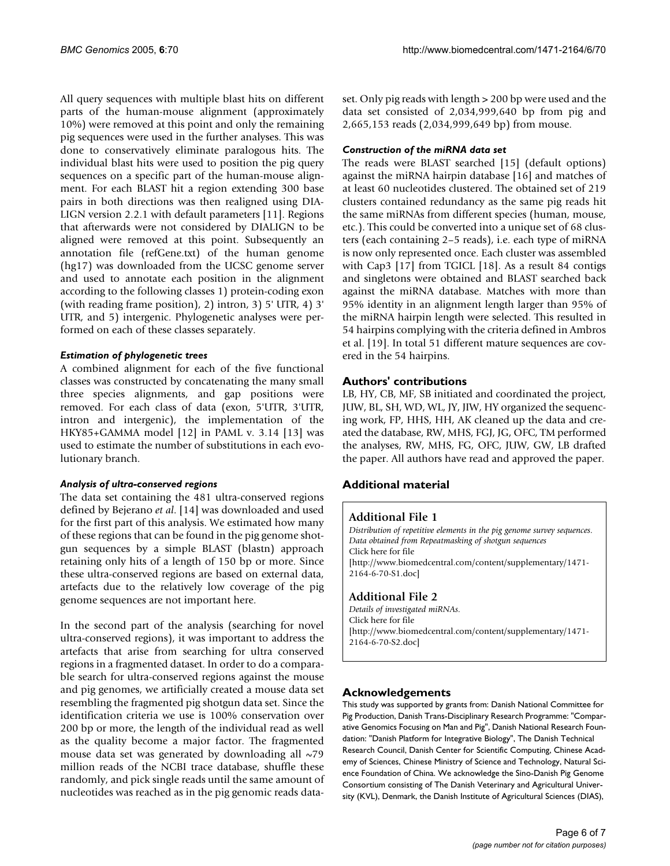All query sequences with multiple blast hits on different parts of the human-mouse alignment (approximately 10%) were removed at this point and only the remaining pig sequences were used in the further analyses. This was done to conservatively eliminate paralogous hits. The individual blast hits were used to position the pig query sequences on a specific part of the human-mouse alignment. For each BLAST hit a region extending 300 base pairs in both directions was then realigned using DIA-LIGN version 2.2.1 with default parameters [11]. Regions that afterwards were not considered by DIALIGN to be aligned were removed at this point. Subsequently an annotation file (refGene.txt) of the human genome (hg17) was downloaded from the UCSC genome server and used to annotate each position in the alignment according to the following classes 1) protein-coding exon (with reading frame position), 2) intron, 3) 5' UTR, 4) 3' UTR, and 5) intergenic. Phylogenetic analyses were performed on each of these classes separately.

### *Estimation of phylogenetic trees*

A combined alignment for each of the five functional classes was constructed by concatenating the many small three species alignments, and gap positions were removed. For each class of data (exon, 5'UTR, 3'UTR, intron and intergenic), the implementation of the HKY85+GAMMA model [12] in PAML v. 3.14 [13] was used to estimate the number of substitutions in each evolutionary branch.

# *Analysis of ultra-conserved regions*

The data set containing the 481 ultra-conserved regions defined by Bejerano *et al*. [14] was downloaded and used for the first part of this analysis. We estimated how many of these regions that can be found in the pig genome shotgun sequences by a simple BLAST (blastn) approach retaining only hits of a length of 150 bp or more. Since these ultra-conserved regions are based on external data, artefacts due to the relatively low coverage of the pig genome sequences are not important here.

In the second part of the analysis (searching for novel ultra-conserved regions), it was important to address the artefacts that arise from searching for ultra conserved regions in a fragmented dataset. In order to do a comparable search for ultra-conserved regions against the mouse and pig genomes, we artificially created a mouse data set resembling the fragmented pig shotgun data set. Since the identification criteria we use is 100% conservation over 200 bp or more, the length of the individual read as well as the quality become a major factor. The fragmented mouse data set was generated by downloading all  $~5$ 79 million reads of the NCBI trace database, shuffle these randomly, and pick single reads until the same amount of nucleotides was reached as in the pig genomic reads dataset. Only pig reads with length > 200 bp were used and the data set consisted of 2,034,999,640 bp from pig and 2,665,153 reads (2,034,999,649 bp) from mouse.

# *Construction of the miRNA data set*

The reads were BLAST searched [15] (default options) against the miRNA hairpin database [16] and matches of at least 60 nucleotides clustered. The obtained set of 219 clusters contained redundancy as the same pig reads hit the same miRNAs from different species (human, mouse, etc.). This could be converted into a unique set of 68 clusters (each containing 2–5 reads), i.e. each type of miRNA is now only represented once. Each cluster was assembled with Cap3 [17] from TGICL [18]. As a result 84 contigs and singletons were obtained and BLAST searched back against the miRNA database. Matches with more than 95% identity in an alignment length larger than 95% of the miRNA hairpin length were selected. This resulted in 54 hairpins complying with the criteria defined in Ambros et al. [19]. In total 51 different mature sequences are covered in the 54 hairpins.

# **Authors' contributions**

LB, HY, CB, MF, SB initiated and coordinated the project, JUW, BL, SH, WD, WL, JY, JIW, HY organized the sequencing work, FP, HHS, HH, AK cleaned up the data and created the database, RW, MHS, FGJ, JG, OFC, TM performed the analyses, RW, MHS, FG, OFC, JUW, GW, LB drafted the paper. All authors have read and approved the paper.

# **Additional material**

# **Additional File 1**

*Distribution of repetitive elements in the pig genome survey sequences. Data obtained from Repeatmasking of shotgun sequences* Click here for file [\[http://www.biomedcentral.com/content/supplementary/1471-](http://www.biomedcentral.com/content/supplementary/1471-2164-6-70-S1.doc) 2164-6-70-S1.doc]

# **Additional File 2**

*Details of investigated miRNAs.* Click here for file [\[http://www.biomedcentral.com/content/supplementary/1471-](http://www.biomedcentral.com/content/supplementary/1471-2164-6-70-S2.doc) 2164-6-70-S2.doc]

# **Acknowledgements**

This study was supported by grants from: Danish National Committee for Pig Production, Danish Trans-Disciplinary Research Programme: "Comparative Genomics Focusing on Man and Pig", Danish National Research Foundation: "Danish Platform for Integrative Biology", The Danish Technical Research Council, Danish Center for Scientific Computing, Chinese Academy of Sciences, Chinese Ministry of Science and Technology, Natural Science Foundation of China. We acknowledge the Sino-Danish Pig Genome Consortium consisting of The Danish Veterinary and Agricultural University (KVL), Denmark, the Danish Institute of Agricultural Sciences (DIAS),